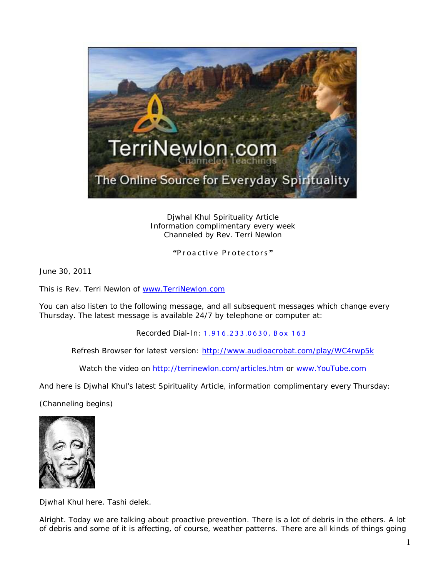

Djwhal Khul Spirituality Article Information complimentary every week Channeled by Rev. Terri Newlon

**"**Proactive Protectors **"**

June 30, 2011

This is Rev. Terri Newlon of [www.TerriNewlon.com](http://www.terrinewlon.com/)

You can also listen to the following message, and all subsequent messages which change every Thursday. The latest message is available 24/7 by telephone or computer at:

Recorded Dial-In: 1.916.233.0630, Box 163

Refresh Browser for latest version: <http://www.audioacrobat.com/play/WC4rwp5k>

Watch the video on<http://terrinewlon.com/articles.htm> or [www.YouTube.com](http://www.youtube.com/)

And here is Djwhal Khul's latest Spirituality Article, information complimentary every Thursday:

(Channeling begins)



Djwhal Khul here. Tashi delek.

Alright. Today we are talking about proactive prevention. There is a lot of debris in the ethers. A lot of debris and some of it is affecting, of course, weather patterns. There are all kinds of things going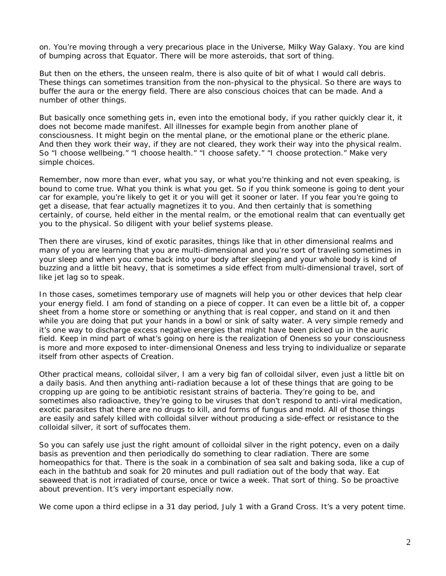on. You're moving through a very precarious place in the Universe, Milky Way Galaxy. You are kind of bumping across that Equator. There will be more asteroids, that sort of thing.

But then on the *ethers,* the unseen realm, there is also quite of bit of what I would call debris. These things can sometimes transition from the non-physical to the physical. So there are ways to buffer the aura or the energy field. There are also conscious choices that can be made. And a number of other things.

But basically once something gets in, even into the emotional body, if you rather quickly clear it, it does not become made manifest. All illnesses for example begin from another plane of consciousness. It might begin on the mental plane, or the emotional plane or the etheric plane. And then they work their way, if they are not cleared, they work their way into the physical realm. So "I choose wellbeing." "I choose health." "I choose safety." "I choose protection." Make very simple choices.

Remember, now more than ever, what you say, or what you're thinking and not even speaking, is bound to come true. What you think is what you get. So if you *think* someone is going to dent your car for example, you're likely to get it or you will get it sooner or later. If you *fear* you're going to get a disease, that fear actually magnetizes it to you. And then certainly that is something certainly, of course, held either in the mental realm, or the emotional realm that can eventually get you to the physical. So diligent with your belief systems please.

Then there are viruses, kind of exotic parasites, things like that in other dimensional realms and many of you are learning that you are multi-dimensional and you're sort of traveling sometimes in your sleep and when you come back into your body after sleeping and your whole body is kind of buzzing and a little bit heavy, that is sometimes a side effect from multi-dimensional travel, sort of like jet lag so to speak.

In those cases, sometimes temporary use of magnets will help you or other devices that help clear your energy field. I am fond of standing on a piece of copper. It can even be a little bit of, a copper sheet from a home store or something or anything that is real copper, and stand on it and then while you are doing that put your hands in a bowl or sink of salty water. A very simple remedy and it's one way to discharge excess negative energies that might have been picked up in the auric field. Keep in mind part of what's going on here is the realization of Oneness so your consciousness is more and more exposed to inter-dimensional Oneness and less trying to individualize or separate itself from other aspects of Creation.

Other practical means, colloidal silver, I am a very big fan of colloidal silver, even just a little bit on a daily basis. And then anything anti-radiation because a lot of these things that are going to be cropping up are going to be antibiotic resistant strains of bacteria. They're going to be, and sometimes also radioactive, they're going to be viruses that don't respond to anti-viral medication, exotic parasites that there are no drugs to kill, and forms of fungus and mold. All of those things are *easily* and safely killed with colloidal silver without producing a side-effect or resistance to the colloidal silver, it sort of suffocates them.

So you can safely use just the right amount of colloidal silver in the right potency, even on a daily basis as prevention and then periodically do something to clear radiation. There are some homeopathics for that. There is the soak in a combination of sea salt and baking soda, like a cup of each in the bathtub and soak for 20 minutes and pull radiation out of the body that way. Eat seaweed that is not irradiated of course, once or twice a week. That sort of thing. So be proactive about prevention. It's very important especially now.

We come upon a third eclipse in a 31 day period, July 1 with a Grand Cross. It's a very potent time.